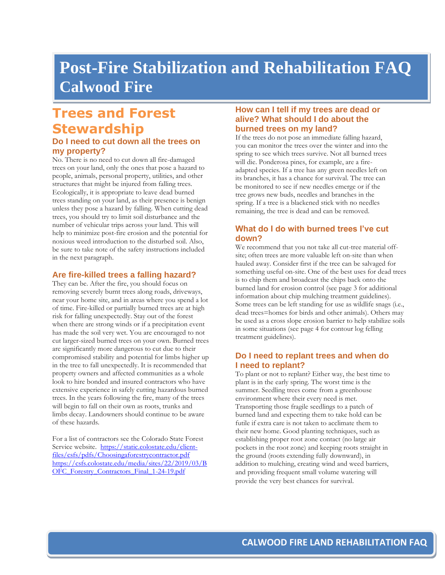# **Post-Fire Stabilization and Rehabilitation FAQ Calwood Fire**

## **Trees and Forest Stewardship**

### **Do I need to cut down all the trees on my property?**

No. There is no need to cut down all fire-damaged trees on your land, only the ones that pose a hazard to people, animals, personal property, utilities, and other structures that might be injured from falling trees. Ecologically, it is appropriate to leave dead burned trees standing on your land, as their presence is benign unless they pose a hazard by falling. When cutting dead trees, you should try to limit soil disturbance and the number of vehicular trips across your land. This will help to minimize post-fire erosion and the potential for noxious weed introduction to the disturbed soil. Also, be sure to take note of the safety instructions included in the next paragraph.

#### **Are fire-killed trees a falling hazard?**

They can be. After the fire, you should focus on removing severely burnt trees along roads, driveways, near your home site, and in areas where you spend a lot of time. Fire-killed or partially burned trees are at high risk for falling unexpectedly. Stay out of the forest when there are strong winds or if a precipitation event has made the soil very wet. You are encouraged to not cut larger-sized burned trees on your own. Burned trees are significantly more dangerous to cut due to their compromised stability and potential for limbs higher up in the tree to fall unexpectedly. It is recommended that property owners and affected communities as a whole look to hire bonded and insured contractors who have extensive experience in safely cutting hazardous burned trees. In the years following the fire, many of the trees will begin to fall on their own as roots, trunks and limbs decay. Landowners should continue to be aware of these hazards.

For a list of contractors see the Colorado State Forest Service website. [https://static.colostate.edu/client](https://static.colostate.edu/client-files/csfs/pdfs/Choosingaforestrycontractor.pdf)[files/csfs/pdfs/Choosingaforestrycontractor.pdf](https://static.colostate.edu/client-files/csfs/pdfs/Choosingaforestrycontractor.pdf)  [https://csfs.colostate.edu/media/sites/22/2019/03/B](https://csfs.colostate.edu/media/sites/22/2019/03/BOFC_Forestry_Contractors_Final_1-24-19.pdf) OFC Forestry Contractors Final 1-24-19.pdf

#### **How can I tell if my trees are dead or alive? What should I do about the burned trees on my land?**

If the trees do not pose an immediate falling hazard, you can monitor the trees over the winter and into the spring to see which trees survive. Not all burned trees will die. Ponderosa pines, for example, are a fireadapted species. If a tree has any green needles left on its branches, it has a chance for survival. The tree can be monitored to see if new needles emerge or if the tree grows new buds, needles and branches in the spring. If a tree is a blackened stick with no needles remaining, the tree is dead and can be removed.

#### **What do I do with burned trees I've cut down?**

We recommend that you not take all cut-tree material offsite; often trees are more valuable left on-site than when hauled away. Consider first if the tree can be salvaged for something useful on-site. One of the best uses for dead trees is to chip them and broadcast the chips back onto the burned land for erosion control (see page 3 for additional information about chip mulching treatment guidelines). Some trees can be left standing for use as wildlife snags (i.e., dead trees=homes for birds and other animals). Others may be used as a cross slope erosion barrier to help stabilize soils in some situations (see page 4 for contour log felling treatment guidelines).

## **Do I need to replant trees and when do I need to replant?**

To plant or not to replant? Either way, the best time to plant is in the early spring. The worst time is the summer. Seedling trees come from a greenhouse environment where their every need is met. Transporting those fragile seedlings to a patch of burned land and expecting them to take hold can be futile if extra care is not taken to acclimate them to their new home. Good planting techniques, such as establishing proper root zone contact (no large air pockets in the root zone) and keeping roots straight in the ground (roots extending fully downward), in addition to mulching, creating wind and weed barriers, and providing frequent small volume watering will provide the very best chances for survival.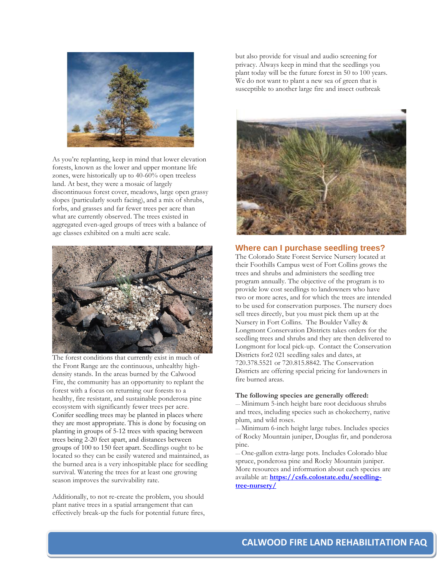

As you're replanting, keep in mind that lower elevation forests, known as the lower and upper montane life zones, were historically up to 40-60% open treeless land. At best, they were a mosaic of largely discontinuous forest cover, meadows, large open grassy slopes (particularly south facing), and a mix of shrubs, forbs, and grasses and far fewer trees per acre than what are currently observed. The trees existed in aggregated even-aged groups of trees with a balance of age classes exhibited on a multi acre scale.



The forest conditions that currently exist in much of the Front Range are the continuous, unhealthy highdensity stands. In the areas burned by the Calwood Fire, the community has an opportunity to replant the forest with a focus on returning our forests to a healthy, fire resistant, and sustainable ponderosa pine ecosystem with significantly fewer trees per acre. Conifer seedling trees may be planted in places where they are most appropriate. This is done by focusing on planting in groups of 5-12 trees with spacing between trees being 2-20 feet apart, and distances between groups of 100 to 150 feet apart. Seedlings ought to be located so they can be easily watered and maintained, as the burned area is a very inhospitable place for seedling survival. Watering the trees for at least one growing season improves the survivability rate.

Additionally, to not re-create the problem, you should plant native trees in a spatial arrangement that can effectively break-up the fuels for potential future fires, but also provide for visual and audio screening for privacy. Always keep in mind that the seedlings you plant today will be the future forest in 50 to 100 years. We do not want to plant a new sea of green that is susceptible to another large fire and insect outbreak



#### **Where can I purchase seedling trees?**

The Colorado State Forest Service Nursery located at their Foothills Campus west of Fort Collins grows the trees and shrubs and administers the seedling tree program annually. The objective of the program is to provide low cost seedlings to landowners who have two or more acres, and for which the trees are intended to be used for conservation purposes. The nursery does sell trees directly, but you must pick them up at the Nursery in Fort Collins. The Boulder Valley & Longmont Conservation Districts takes orders for the seedling trees and shrubs and they are then delivered to Longmont for local pick-up. Contact the Conservation Districts for2 021 seedling sales and dates, at 720.378.5521 or 720.815.8842. The Conservation Districts are offering special pricing for landowners in fire burned areas.

#### **The following species are generally offered:**

--- Minimum 5-inch height bare root deciduous shrubs and trees, including species such as chokecherry, native plum, and wild roses.

--- Minimum 6-inch height large tubes. Includes species of Rocky Mountain juniper, Douglas fir, and ponderosa pine.

--- One-gallon extra-large pots. Includes Colorado blue spruce, ponderosa pine and Rocky Mountain juniper. More resources and information about each species are available at: **[https://csfs.colostate.edu/seedling](https://csfs.colostate.edu/seedling-tree-nursery/)[tree-nursery/](https://csfs.colostate.edu/seedling-tree-nursery/)**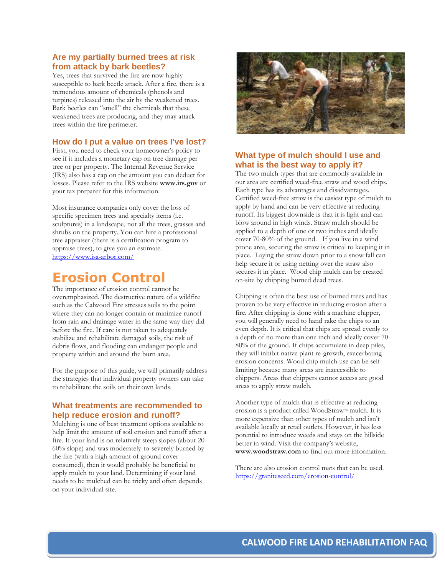#### **Are my partially burned trees at risk from attack by bark beetles?**

Yes, trees that survived the fire are now highly susceptible to bark beetle attack. After a fire, there is a tremendous amount of chemicals (phenols and turpines) released into the air by the weakened trees. Bark beetles can "smell" the chemicals that these weakened trees are producing, and they may attack trees within the fire perimeter.

#### **How do I put a value on trees I've lost?**

First, you need to check your homeowner's policy to see if it includes a monetary cap on tree damage per tree or per property. The Internal Revenue Service (IRS) also has a cap on the amount you can deduct for losses. Please refer to the IRS website **www.irs.gov** or your tax preparer for this information.

Most insurance companies only cover the loss of specific specimen trees and specialty items (i.e. sculptures) in a landscape, not all the trees, grasses and shrubs on the property. You can hire a professional tree appraiser (there is a certification program to appraise trees), to give you an estimate. <https://www.isa-arbor.com/>

## **Erosion Control**

The importance of erosion control cannot be overemphasized. The destructive nature of a wildfire such as the Calwood Fire stresses soils to the point where they can no longer contain or minimize runoff from rain and drainage water in the same way they did before the fire. If care is not taken to adequately stabilize and rehabilitate damaged soils, the risk of debris flows, and flooding can endanger people and property within and around the burn area.

For the purpose of this guide, we will primarily address the strategies that individual property owners can take to rehabilitate the soils on their own lands.

#### **What treatments are recommended to help reduce erosion and runoff?**

Mulching is one of best treatment options available to help limit the amount of soil erosion and runoff after a fire. If your land is on relatively steep slopes (about 20- 60% slope) and was moderately-to-severely burned by the fire (with a high amount of ground cover consumed), then it would probably be beneficial to apply mulch to your land. Determining if your land needs to be mulched can be tricky and often depends on your individual site.



#### **What type of mulch should I use and what is the best way to apply it?**

The two mulch types that are commonly available in our area are certified weed-free straw and wood chips. Each type has its advantages and disadvantages. Certified weed-free straw is the easiest type of mulch to apply by hand and can be very effective at reducing runoff. Its biggest downside is that it is light and can blow around in high winds. Straw mulch should be applied to a depth of one or two inches and ideally cover 70-80% of the ground. If you live in a wind prone area, securing the straw is critical to keeping it in place. Laying the straw down prior to a snow fall can help secure it or using netting over the straw also secures it in place. Wood chip mulch can be created on-site by chipping burned dead trees.

Chipping is often the best use of burned trees and has proven to be very effective in reducing erosion after a fire. After chipping is done with a machine chipper, you will generally need to hand rake the chips to an even depth. It is critical that chips are spread evenly to a depth of no more than one inch and ideally cover 70- 80% of the ground. If chips accumulate in deep piles, they will inhibit native plant re-growth, exacerbating erosion concerns. Wood chip mulch use can be selflimiting because many areas are inaccessible to chippers. Areas that chippers cannot access are good areas to apply straw mulch.

Another type of mulch that is effective at reducing erosion is a product called WoodStraw<sub>IM</sub> mulch. It is more expensive than other types of mulch and isn't available locally at retail outlets. However, it has less potential to introduce weeds and stays on the hillside better in wind. Visit the company's website, **www.woodstraw.com** to find out more information.

There are also erosion control mats that can be used. <https://graniteseed.com/erosion-control/>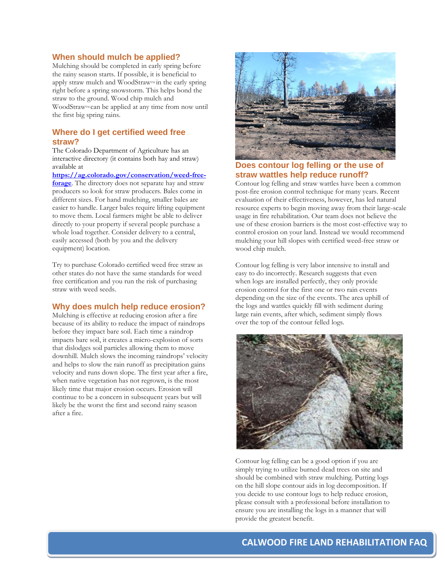#### **When should mulch be applied?**

Mulching should be completed in early spring before the rainy season starts. If possible, it is beneficial to apply straw mulch and WoodStraw<sub>M</sub> in the early spring right before a spring snowstorm. This helps bond the straw to the ground. Wood chip mulch and WoodStraw<sup>TM</sup> can be applied at any time from now until the first big spring rains.

#### **Where do I get certified weed free straw?**

The Colorado Department of Agriculture has an interactive directory (it contains both hay and straw) available at

**[https://ag.colorado.gov/conservation/weed-free](https://ag.colorado.gov/conservation/weed-free-forage)[forage](https://ag.colorado.gov/conservation/weed-free-forage)**. The directory does not separate hay and straw producers so look for straw producers. Bales come in different sizes. For hand mulching, smaller bales are easier to handle. Larger bales require lifting equipment to move them. Local farmers might be able to deliver directly to your property if several people purchase a whole load together. Consider delivery to a central, easily accessed (both by you and the delivery equipment) location.

Try to purchase Colorado certified weed free straw as other states do not have the same standards for weed free certification and you run the risk of purchasing straw with weed seeds.

#### **Why does mulch help reduce erosion?**

Mulching is effective at reducing erosion after a fire because of its ability to reduce the impact of raindrops before they impact bare soil. Each time a raindrop impacts bare soil, it creates a micro-explosion of sorts that dislodges soil particles allowing them to move downhill. Mulch slows the incoming raindrops' velocity and helps to slow the rain runoff as precipitation gains velocity and runs down slope. The first year after a fire, when native vegetation has not regrown, is the most likely time that major erosion occurs. Erosion will continue to be a concern in subsequent years but will likely be the worst the first and second rainy season after a fire.



#### **Does contour log felling or the use of straw wattles help reduce runoff?**

Contour log felling and straw wattles have been a common post-fire erosion control technique for many years. Recent evaluation of their effectiveness, however, has led natural resource experts to begin moving away from their large-scale usage in fire rehabilitation. Our team does not believe the use of these erosion barriers is the most cost-effective way to control erosion on your land. Instead we would recommend mulching your hill slopes with certified weed-free straw or wood chip mulch.

Contour log felling is very labor intensive to install and easy to do incorrectly. Research suggests that even when logs are installed perfectly, they only provide erosion control for the first one or two rain events depending on the size of the events. The area uphill of the logs and wattles quickly fill with sediment during large rain events, after which, sediment simply flows over the top of the contour felled logs.



Contour log felling can be a good option if you are simply trying to utilize burned dead trees on site and should be combined with straw mulching. Putting logs on the hill slope contour aids in log decomposition. If you decide to use contour logs to help reduce erosion, please consult with a professional before installation to ensure you are installing the logs in a manner that will provide the greatest benefit.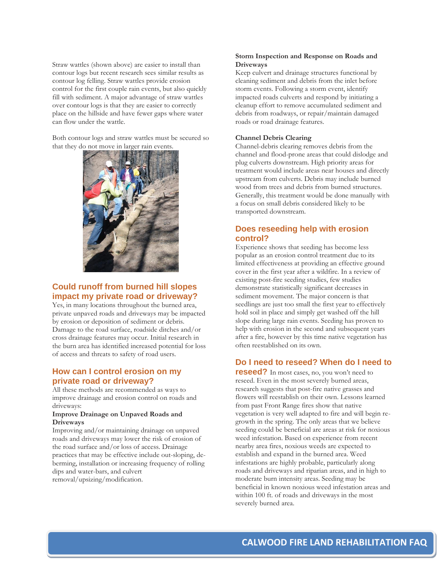Straw wattles (shown above) are easier to install than contour logs but recent research sees similar results as contour log felling. Straw wattles provide erosion control for the first couple rain events, but also quickly fill with sediment. A major advantage of straw wattles over contour logs is that they are easier to correctly place on the hillside and have fewer gaps where water can flow under the wattle.

Both contour logs and straw wattles must be secured so that they do not move in larger rain events.



### **Could runoff from burned hill slopes impact my private road or driveway?**

Yes, in many locations throughout the burned area, private unpaved roads and driveways may be impacted by erosion or deposition of sediment or debris. Damage to the road surface, roadside ditches and/or cross drainage features may occur. Initial research in the burn area has identified increased potential for loss of access and threats to safety of road users.

#### **How can I control erosion on my private road or driveway?**

All these methods are recommended as ways to improve drainage and erosion control on roads and driveways:

#### **Improve Drainage on Unpaved Roads and Driveways**

Improving and/or maintaining drainage on unpaved roads and driveways may lower the risk of erosion of the road surface and/or loss of access. Drainage practices that may be effective include out-sloping, deberming, installation or increasing frequency of rolling dips and water-bars, and culvert removal/upsizing/modification.

#### **Storm Inspection and Response on Roads and Driveways**

Keep culvert and drainage structures functional by cleaning sediment and debris from the inlet before storm events. Following a storm event, identify impacted roads culverts and respond by initiating a cleanup effort to remove accumulated sediment and debris from roadways, or repair/maintain damaged roads or road drainage features.

#### **Channel Debris Clearing**

Channel-debris clearing removes debris from the channel and flood-prone areas that could dislodge and plug culverts downstream. High priority areas for treatment would include areas near houses and directly upstream from culverts. Debris may include burned wood from trees and debris from burned structures. Generally, this treatment would be done manually with a focus on small debris considered likely to be transported downstream.

#### **Does reseeding help with erosion control?**

Experience shows that seeding has become less popular as an erosion control treatment due to its limited effectiveness at providing an effective ground cover in the first year after a wildfire. In a review of existing post-fire seeding studies, few studies demonstrate statistically significant decreases in sediment movement. The major concern is that seedlings are just too small the first year to effectively hold soil in place and simply get washed off the hill slope during large rain events. Seeding has proven to help with erosion in the second and subsequent years after a fire, however by this time native vegetation has often reestablished on its own.

#### **Do I need to reseed? When do I need to**

**reseed?** In most cases, no, you won't need to reseed. Even in the most severely burned areas, research suggests that post-fire native grasses and flowers will reestablish on their own. Lessons learned from past Front Range fires show that native vegetation is very well adapted to fire and will begin regrowth in the spring. The only areas that we believe seeding could be beneficial are areas at risk for noxious weed infestation. Based on experience from recent nearby area fires, noxious weeds are expected to establish and expand in the burned area. Weed infestations are highly probable, particularly along roads and driveways and riparian areas, and in high to moderate burn intensity areas. Seeding may be beneficial in known noxious weed infestation areas and within 100 ft. of roads and driveways in the most severely burned area.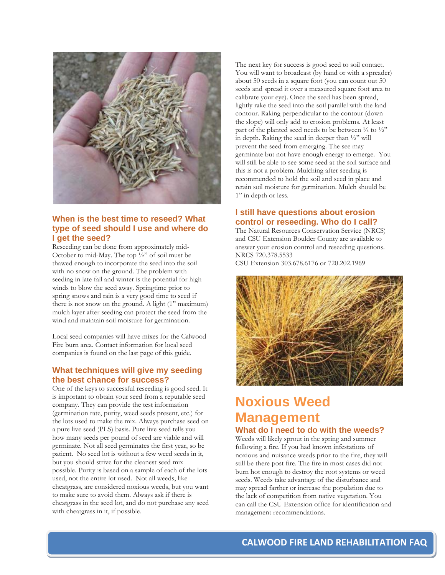

## **When is the best time to reseed? What type of seed should I use and where do I get the seed?**

Reseeding can be done from approximately mid-October to mid-May. The top ½" of soil must be thawed enough to incorporate the seed into the soil with no snow on the ground. The problem with seeding in late fall and winter is the potential for high winds to blow the seed away. Springtime prior to spring snows and rain is a very good time to seed if there is not snow on the ground. A light (1" maximum) mulch layer after seeding can protect the seed from the wind and maintain soil moisture for germination.

Local seed companies will have mixes for the Calwood Fire burn area. Contact information for local seed companies is found on the last page of this guide.

### **What techniques will give my seeding the best chance for success?**

One of the keys to successful reseeding is good seed. It is important to obtain your seed from a reputable seed company. They can provide the test information (germination rate, purity, weed seeds present, etc.) for the lots used to make the mix. Always purchase seed on a pure live seed (PLS) basis. Pure live seed tells you how many seeds per pound of seed are viable and will germinate. Not all seed germinates the first year, so be patient. No seed lot is without a few weed seeds in it, but you should strive for the cleanest seed mix possible. Purity is based on a sample of each of the lots used, not the entire lot used. Not all weeds, like cheatgrass, are considered noxious weeds, but you want to make sure to avoid them. Always ask if there is cheatgrass in the seed lot, and do not purchase any seed with cheatgrass in it, if possible.

The next key for success is good seed to soil contact. You will want to broadcast (by hand or with a spreader) about 50 seeds in a square foot (you can count out 50 seeds and spread it over a measured square foot area to calibrate your eye). Once the seed has been spread, lightly rake the seed into the soil parallel with the land contour. Raking perpendicular to the contour (down the slope) will only add to erosion problems. At least part of the planted seed needs to be between  $\frac{1}{4}$  to  $\frac{1}{2}$ " in depth. Raking the seed in deeper than  $\frac{1}{2}$ " will prevent the seed from emerging. The see may germinate but not have enough energy to emerge. You will still be able to see some seed at the soil surface and this is not a problem. Mulching after seeding is recommended to hold the soil and seed in place and retain soil moisture for germination. Mulch should be 1" in depth or less.

## **I still have questions about erosion control or reseeding. Who do I call?**

The Natural Resources Conservation Service (NRCS) and CSU Extension Boulder County are available to answer your erosion control and reseeding questions. NRCS 720.378.5533

CSU Extension 303.678.6176 or 720.202.1969



# **Noxious Weed Management**

## **What do I need to do with the weeds?**

Weeds will likely sprout in the spring and summer following a fire. If you had known infestations of noxious and nuisance weeds prior to the fire, they will still be there post fire. The fire in most cases did not burn hot enough to destroy the root systems or weed seeds. Weeds take advantage of the disturbance and may spread farther or increase the population due to the lack of competition from native vegetation. You can call the CSU Extension office for identification and management recommendations.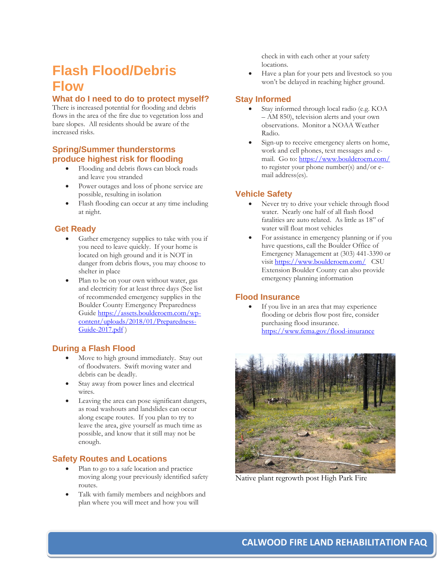## **Flash Flood/Debris Flow**

## **What do I need to do to protect myself?**

There is increased potential for flooding and debris flows in the area of the fire due to vegetation loss and bare slopes. All residents should be aware of the increased risks.

### **Spring/Summer thunderstorms produce highest risk for flooding**

- Flooding and debris flows can block roads and leave you stranded
- Power outages and loss of phone service are possible, resulting in isolation
- Flash flooding can occur at any time including at night.

### **Get Ready**

- Gather emergency supplies to take with you if you need to leave quickly. If your home is located on high ground and it is NOT in danger from debris flows, you may choose to shelter in place
- Plan to be on your own without water, gas and electricity for at least three days (See list of recommended emergency supplies in the Boulder County Emergency Preparedness Guid[e https://assets.boulderoem.com/wp](https://assets.boulderoem.com/wp-content/uploads/2018/01/Preparedness-Guide-2017.pdf)[content/uploads/2018/01/Preparedness-](https://assets.boulderoem.com/wp-content/uploads/2018/01/Preparedness-Guide-2017.pdf) $\overline{\text{Guide}\text{-}2017.\text{pdf}}$

### **During a Flash Flood**

- Move to high ground immediately. Stay out of floodwaters. Swift moving water and debris can be deadly.
- Stay away from power lines and electrical wires.
- Leaving the area can pose significant dangers, as road washouts and landslides can occur along escape routes. If you plan to try to leave the area, give yourself as much time as possible, and know that it still may not be enough.

## **Safety Routes and Locations**

- Plan to go to a safe location and practice moving along your previously identified safety routes.
- Talk with family members and neighbors and plan where you will meet and how you will

check in with each other at your safety locations.

• Have a plan for your pets and livestock so you won't be delayed in reaching higher ground.

## **Stay Informed**

- Stay informed through local radio (e.g. KOA – AM 850), television alerts and your own observations. Monitor a NOAA Weather Radio.
- Sign-up to receive emergency alerts on home, work and cell phones, text messages and email. Go to: <https://www.boulderoem.com/> to register your phone number(s) and/or email address(es).

## **Vehicle Safety**

- Never try to drive your vehicle through flood water. Nearly one half of all flash flood fatalities are auto related. As little as 18" of water will float most vehicles
- For assistance in emergency planning or if you have questions, call the Boulder Office of Emergency Management at (303) 441-3390 or visit <https://www.boulderoem.com/> CSU Extension Boulder County can also provide emergency planning information

### **Flood Insurance**

If you live in an area that may experience flooding or debris flow post fire, consider purchasing flood insurance. <https://www.fema.gov/flood-insurance>



Native plant regrowth post High Park Fire